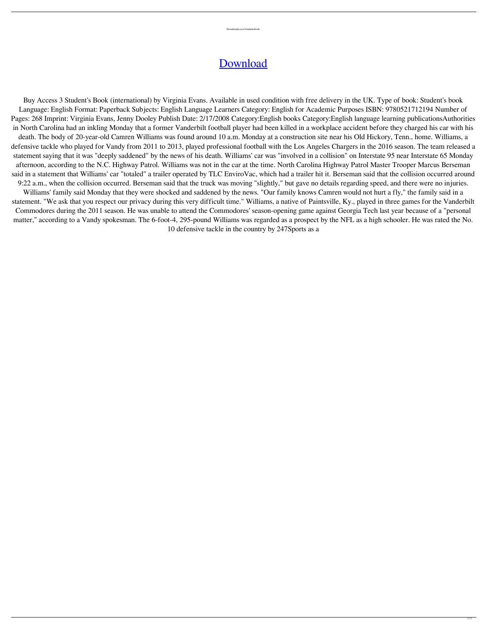## [Download](http://evacdir.com/ZG93bmxvYWRhY2Nlc3Mzc3R1ZGVudHNib29rZG9/denotes/bead.ZG93bmxvYWR8cDhVYUdKamNIeDhNVFkxTlRnME1qazRNWHg4TWpVM05IeDhLRTBwSUhKbFlXUXRZbXh2WnlCYlJtRnpkQ0JIUlU1ZA?fruiti=mendini/)

Buy Access 3 Student's Book (international) by Virginia Evans. Available in used condition with free delivery in the UK. Type of book: Student's book Language: English Format: Paperback Subjects: English Language Learners Category: English for Academic Purposes ISBN: 9780521712194 Number of Pages: 268 Imprint: Virginia Evans, Jenny Dooley Publish Date: 2/17/2008 Category:English books Category:English language learning publicationsAuthorities in North Carolina had an inkling Monday that a former Vanderbilt football player had been killed in a workplace accident before they charged his car with his death. The body of 20-year-old Camren Williams was found around 10 a.m. Monday at a construction site near his Old Hickory, Tenn., home. Williams, a defensive tackle who played for Vandy from 2011 to 2013, played professional football with the Los Angeles Chargers in the 2016 season. The team released a statement saying that it was "deeply saddened" by the news of his death. Williams' car was "involved in a collision" on Interstate 95 near Interstate 65 Monday afternoon, according to the N.C. Highway Patrol. Williams was not in the car at the time. North Carolina Highway Patrol Master Trooper Marcus Berseman said in a statement that Williams' car "totaled" a trailer operated by TLC EnviroVac, which had a trailer hit it. Berseman said that the collision occurred around 9:22 a.m., when the collision occurred. Berseman said that the truck was moving "slightly," but gave no details regarding speed, and there were no injuries. Williams' family said Monday that they were shocked and saddened by the news. "Our family knows Camren would not hurt a fly," the family said in a statement. "We ask that you respect our privacy during this very difficult time." Williams, a native of Paintsville, Ky., played in three games for the Vanderbilt Commodores during the 2011 season. He was unable to attend the Commodores' season-opening game against Georgia Tech last year because of a "personal matter," according to a Vandy spokesman. The 6-foot-4, 295-pound Williams was regarded as a prospect by the NFL as a high schooler. He was rated the No. 10 defensive tackle in the country by 247Sports as a